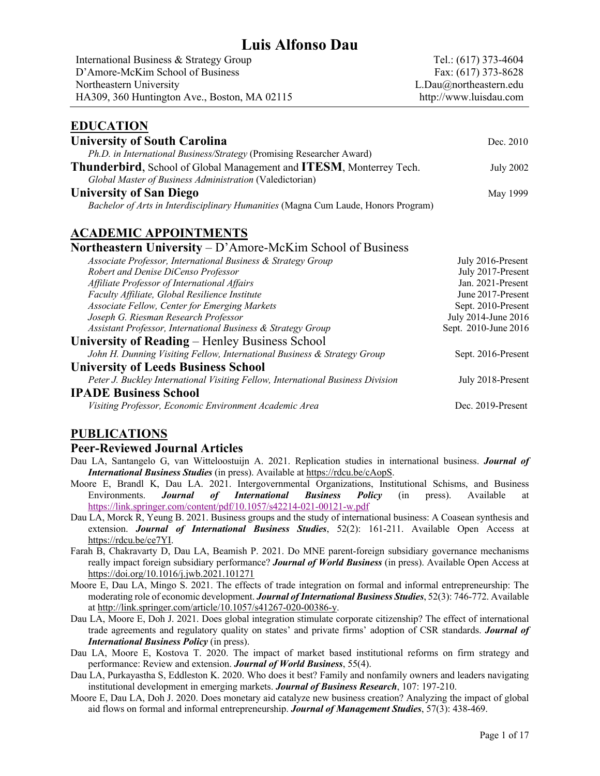# **Luis Alfonso Dau**

| International Business & Strategy Group      | Tel.: (617) 373-4604   |
|----------------------------------------------|------------------------|
| D'Amore-McKim School of Business             | Fax: $(617)$ 373-8628  |
| Northeastern University                      | L.Dau@northeastern.edu |
| HA309, 360 Huntington Ave., Boston, MA 02115 | http://www.luisdau.com |

### **EDUCATION University of South Carolina** Dec. 2010 *Ph.D. in International Business/Strategy* (Promising Researcher Award) **Thunderbird**, School of Global Management and **ITESM**, Monterrey Tech. July 2002 *Global Master of Business Administration* (Valedictorian) **University of San Diego** May 1999 *Bachelor of Arts in Interdisciplinary Humanities* (Magna Cum Laude, Honors Program)

## **ACADEMIC APPOINTMENTS**

**Northeastern University** – D'Amore-McKim School of Business

| Associate Professor, International Business & Strategy Group                    | July 2016-Present    |
|---------------------------------------------------------------------------------|----------------------|
| Robert and Denise DiCenso Professor                                             | July 2017-Present    |
| Affiliate Professor of International Affairs                                    | Jan. 2021-Present    |
| Faculty Affiliate, Global Resilience Institute                                  | June 2017-Present    |
| Associate Fellow, Center for Emerging Markets                                   | Sept. 2010-Present   |
| Joseph G. Riesman Research Professor                                            | July 2014-June 2016  |
| Assistant Professor, International Business & Strategy Group                    | Sept. 2010-June 2016 |
| University of Reading – Henley Business School                                  |                      |
| John H. Dunning Visiting Fellow, International Business & Strategy Group        | Sept. 2016-Present   |
| <b>University of Leeds Business School</b>                                      |                      |
| Peter J. Buckley International Visiting Fellow, International Business Division | July 2018-Present    |
| <b>IPADE Business School</b>                                                    |                      |
| Visiting Professor, Economic Environment Academic Area                          | Dec. 2019-Present    |

## **PUBLICATIONS**

#### **Peer-Reviewed Journal Articles**

- Dau LA, Santangelo G, van Witteloostuijn A. 2021. Replication studies in international business. *Journal of International Business Studies* (in press). Available at https://rdcu.be/cAopS.
- Moore E, Brandl K, Dau LA. 2021. Intergovernmental Organizations, Institutional Schisms, and Business Environments. *Journal of International Business Policy* (in press). Available at https://link.springer.com/content/pdf/10.1057/s42214-021-00121-w.pdf
- Dau LA, Morck R, Yeung B. 2021. Business groups and the study of international business: A Coasean synthesis and extension. *Journal of International Business Studies*, 52(2): 161-211. Available Open Access at https://rdcu.be/ce7YI.
- Farah B, Chakravarty D, Dau LA, Beamish P. 2021. Do MNE parent-foreign subsidiary governance mechanisms really impact foreign subsidiary performance? *Journal of World Business* (in press). Available Open Access at https://doi.org/10.1016/j.jwb.2021.101271
- Moore E, Dau LA, Mingo S. 2021. The effects of trade integration on formal and informal entrepreneurship: The moderating role of economic development. *Journal of International Business Studies*, 52(3): 746-772. Available at http://link.springer.com/article/10.1057/s41267-020-00386-y.
- Dau LA, Moore E, Doh J. 2021. Does global integration stimulate corporate citizenship? The effect of international trade agreements and regulatory quality on states' and private firms' adoption of CSR standards. *Journal of International Business Policy* (in press).
- Dau LA, Moore E, Kostova T. 2020. The impact of market based institutional reforms on firm strategy and performance: Review and extension. *Journal of World Business*, 55(4).
- Dau LA, Purkayastha S, Eddleston K. 2020. Who does it best? Family and nonfamily owners and leaders navigating institutional development in emerging markets. *Journal of Business Research*, 107: 197-210.
- Moore E, Dau LA, Doh J. 2020. Does monetary aid catalyze new business creation? Analyzing the impact of global aid flows on formal and informal entrepreneurship. *Journal of Management Studies*, 57(3): 438-469.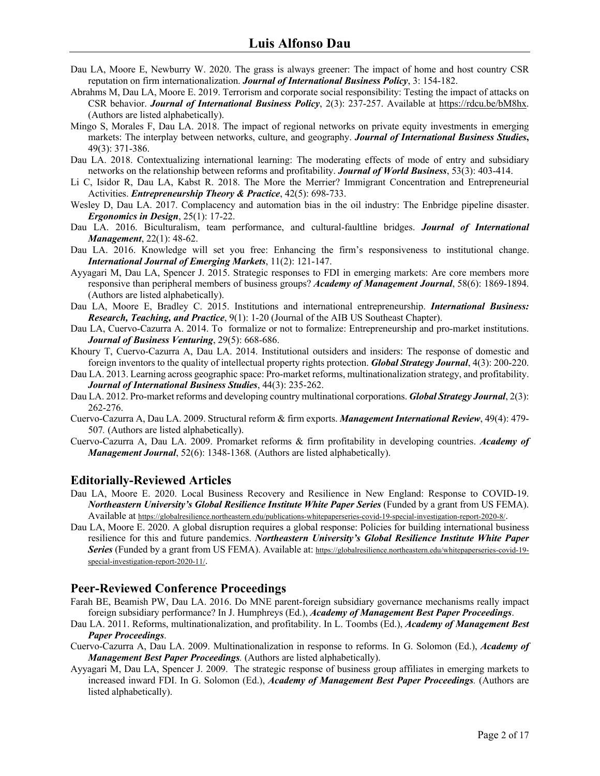- Dau LA, Moore E, Newburry W. 2020. The grass is always greener: The impact of home and host country CSR reputation on firm internationalization. *Journal of International Business Policy*, 3: 154-182.
- Abrahms M, Dau LA, Moore E. 2019. Terrorism and corporate social responsibility: Testing the impact of attacks on CSR behavior. *Journal of International Business Policy*, 2(3): 237-257. Available at https://rdcu.be/bM8hx. (Authors are listed alphabetically).
- Mingo S, Morales F, Dau LA. 2018. The impact of regional networks on private equity investments in emerging markets: The interplay between networks, culture, and geography. *Journal of International Business Studies***,** 49(3): 371-386.
- Dau LA. 2018. Contextualizing international learning: The moderating effects of mode of entry and subsidiary networks on the relationship between reforms and profitability. *Journal of World Business*, 53(3): 403-414.
- Li C, Isidor R, Dau LA, Kabst R. 2018. The More the Merrier? Immigrant Concentration and Entrepreneurial Activities. *Entrepreneurship Theory & Practice*, 42(5): 698-733.
- Wesley D, Dau LA. 2017. Complacency and automation bias in the oil industry: The Enbridge pipeline disaster. *Ergonomics in Design*, 25(1): 17-22.
- Dau LA. 2016. Biculturalism, team performance, and cultural-faultline bridges. *Journal of International Management*, 22(1): 48-62.
- Dau LA. 2016. Knowledge will set you free: Enhancing the firm's responsiveness to institutional change. *International Journal of Emerging Markets*, 11(2): 121-147.
- Ayyagari M, Dau LA, Spencer J. 2015. Strategic responses to FDI in emerging markets: Are core members more responsive than peripheral members of business groups? *Academy of Management Journal*, 58(6): 1869-1894. (Authors are listed alphabetically).
- Dau LA, Moore E, Bradley C. 2015. Institutions and international entrepreneurship. *International Business: Research, Teaching, and Practice*, 9(1): 1-20 (Journal of the AIB US Southeast Chapter).
- Dau LA, Cuervo-Cazurra A. 2014. To formalize or not to formalize: Entrepreneurship and pro-market institutions. *Journal of Business Venturing*, 29(5): 668-686.
- Khoury T, Cuervo-Cazurra A, Dau LA. 2014. Institutional outsiders and insiders: The response of domestic and foreign inventors to the quality of intellectual property rights protection. *Global Strategy Journal*, 4(3): 200-220.
- Dau LA. 2013. Learning across geographic space: Pro-market reforms, multinationalization strategy, and profitability. *Journal of International Business Studies*, 44(3): 235-262.
- Dau LA. 2012. Pro-market reforms and developing country multinational corporations. *Global Strategy Journal*, 2(3): 262-276.
- Cuervo-Cazurra A, Dau LA. 2009. Structural reform & firm exports. *Management International Review*, 49(4): 479- 507*.* (Authors are listed alphabetically).
- Cuervo-Cazurra A, Dau LA. 2009. Promarket reforms & firm profitability in developing countries. *Academy of Management Journal*, 52(6): 1348-1368*.* (Authors are listed alphabetically).

#### **Editorially-Reviewed Articles**

- Dau LA, Moore E. 2020. Local Business Recovery and Resilience in New England: Response to COVID-19. *Northeastern University's Global Resilience Institute White Paper Series* (Funded by a grant from US FEMA). Available at https://globalresilience.northeastern.edu/publications-whitepaperseries-covid-19-special-investigation-report-2020-8/.
- Dau LA, Moore E. 2020. A global disruption requires a global response: Policies for building international business resilience for this and future pandemics. *Northeastern University's Global Resilience Institute White Paper*  Series (Funded by a grant from US FEMA). Available at: https://globalresilience.northeastern.edu/whitepaperseries-covid-19special-investigation-report-2020-11/.

### **Peer-Reviewed Conference Proceedings**

- Farah BE, Beamish PW, Dau LA. 2016. Do MNE parent-foreign subsidiary governance mechanisms really impact foreign subsidiary performance? In J. Humphreys (Ed.), *Academy of Management Best Paper Proceedings*.
- Dau LA. 2011. Reforms, multinationalization, and profitability. In L. Toombs (Ed.), *Academy of Management Best Paper Proceedings*.
- Cuervo-Cazurra A, Dau LA. 2009. Multinationalization in response to reforms. In G. Solomon (Ed.), *Academy of Management Best Paper Proceedings.* (Authors are listed alphabetically).
- Ayyagari M, Dau LA, Spencer J. 2009. The strategic response of business group affiliates in emerging markets to increased inward FDI. In G. Solomon (Ed.), *Academy of Management Best Paper Proceedings.* (Authors are listed alphabetically).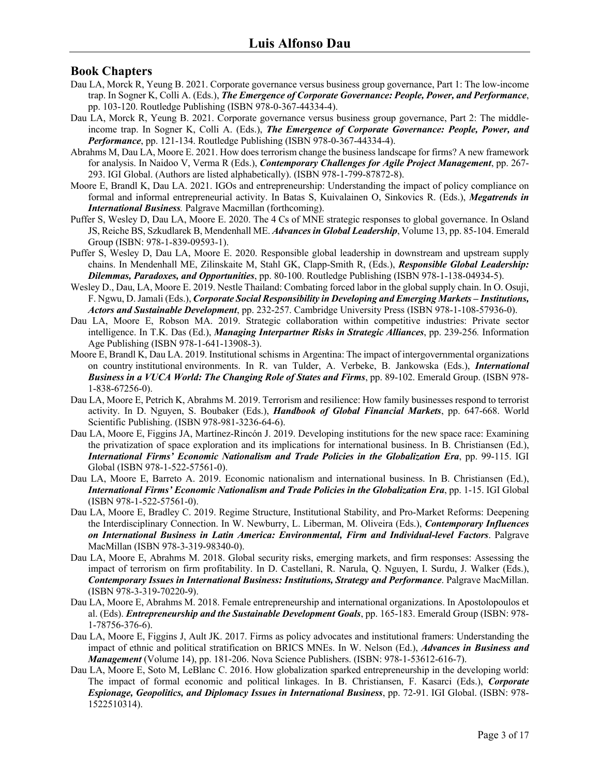## **Book Chapters**

- Dau LA, Morck R, Yeung B. 2021. Corporate governance versus business group governance, Part 1: The low-income trap. In Sogner K, Colli A. (Eds.), *The Emergence of Corporate Governance: People, Power, and Performance*, pp. 103-120. Routledge Publishing (ISBN 978-0-367-44334-4).
- Dau LA, Morck R, Yeung B. 2021. Corporate governance versus business group governance, Part 2: The middleincome trap. In Sogner K, Colli A. (Eds.), *The Emergence of Corporate Governance: People, Power, and Performance*, pp. 121-134. Routledge Publishing (ISBN 978-0-367-44334-4).
- Abrahms M, Dau LA, Moore E. 2021. How does terrorism change the business landscape for firms? A new framework for analysis. In Naidoo V, Verma R (Eds.), *Contemporary Challenges for Agile Project Management*, pp. 267- 293. IGI Global. (Authors are listed alphabetically). (ISBN 978-1-799-87872-8).
- Moore E, Brandl K, Dau LA. 2021. IGOs and entrepreneurship: Understanding the impact of policy compliance on formal and informal entrepreneurial activity. In Batas S, Kuivalainen O, Sinkovics R. (Eds.), *Megatrends in International Business.* Palgrave Macmillan (forthcoming).
- Puffer S, Wesley D, Dau LA, Moore E. 2020. The 4 Cs of MNE strategic responses to global governance. In Osland JS, Reiche BS, Szkudlarek B, Mendenhall ME. *Advances in Global Leadership*, Volume 13, pp. 85-104. Emerald Group (ISBN: 978-1-839-09593-1).
- Puffer S, Wesley D, Dau LA, Moore E. 2020. Responsible global leadership in downstream and upstream supply chains. In Mendenhall ME, Zilinskaite M, Stahl GK, Clapp-Smith R, (Eds.), *Responsible Global Leadership: Dilemmas, Paradoxes, and Opportunities*, pp. 80-100. Routledge Publishing (ISBN 978-1-138-04934-5).
- Wesley D., Dau, LA, Moore E. 2019. Nestle Thailand: Combating forced labor in the global supply chain. In O. Osuji, F. Ngwu, D. Jamali (Eds.), *Corporate Social Responsibility in Developing and Emerging Markets – Institutions, Actors and Sustainable Development*, pp. 232-257. Cambridge University Press (ISBN 978-1-108-57936-0).
- Dau LA, Moore E, Robson MA. 2019. Strategic collaboration within competitive industries: Private sector intelligence. In T.K. Das (Ed.), *Managing Interpartner Risks in Strategic Alliances*, pp. 239-256*.* Information Age Publishing (ISBN 978-1-641-13908-3).
- Moore E, Brandl K, Dau LA. 2019. Institutional schisms in Argentina: The impact of intergovernmental organizations on country institutional environments. In R. van Tulder, A. Verbeke, B. Jankowska (Eds.), *International Business in a VUCA World: The Changing Role of States and Firms*, pp. 89-102. Emerald Group. (ISBN 978- 1-838-67256-0).
- Dau LA, Moore E, Petrich K, Abrahms M. 2019. Terrorism and resilience: How family businesses respond to terrorist activity. In D. Nguyen, S. Boubaker (Eds.), *Handbook of Global Financial Markets*, pp. 647-668. World Scientific Publishing. (ISBN 978-981-3236-64-6).
- Dau LA, Moore E, Figgins JA, Martínez-Rincón J. 2019. Developing institutions for the new space race: Examining the privatization of space exploration and its implications for international business. In B. Christiansen (Ed.), *International Firms' Economic Nationalism and Trade Policies in the Globalization Era*, pp. 99-115. IGI Global (ISBN 978-1-522-57561-0).
- Dau LA, Moore E, Barreto A. 2019. Economic nationalism and international business. In B. Christiansen (Ed.), *International Firms' Economic Nationalism and Trade Policies in the Globalization Era*, pp. 1-15. IGI Global (ISBN 978-1-522-57561-0).
- Dau LA, Moore E, Bradley C. 2019. Regime Structure, Institutional Stability, and Pro-Market Reforms: Deepening the Interdisciplinary Connection. In W. Newburry, L. Liberman, M. Oliveira (Eds.), *Contemporary Influences on International Business in Latin America: Environmental, Firm and Individual-level Factors*. Palgrave MacMillan (ISBN 978-3-319-98340-0).
- Dau LA, Moore E, Abrahms M. 2018. Global security risks, emerging markets, and firm responses: Assessing the impact of terrorism on firm profitability. In D. Castellani, R. Narula, Q. Nguyen, I. Surdu, J. Walker (Eds.), *Contemporary Issues in International Business: Institutions, Strategy and Performance*. Palgrave MacMillan. (ISBN 978-3-319-70220-9).
- Dau LA, Moore E, Abrahms M. 2018. Female entrepreneurship and international organizations. In Apostolopoulos et al. (Eds). *Entrepreneurship and the Sustainable Development Goals*, pp. 165-183. Emerald Group (ISBN: 978- 1-78756-376-6).
- Dau LA, Moore E, Figgins J, Ault JK. 2017. Firms as policy advocates and institutional framers: Understanding the impact of ethnic and political stratification on BRICS MNEs. In W. Nelson (Ed.), *Advances in Business and Management* (Volume 14), pp. 181-206. Nova Science Publishers. (ISBN: 978-1-53612-616-7).
- Dau LA, Moore E, Soto M, LeBlanc C. 2016. How globalization sparked entrepreneurship in the developing world: The impact of formal economic and political linkages. In B. Christiansen, F. Kasarci (Eds.), *Corporate Espionage, Geopolitics, and Diplomacy Issues in International Business*, pp. 72-91. IGI Global. (ISBN: 978- 1522510314).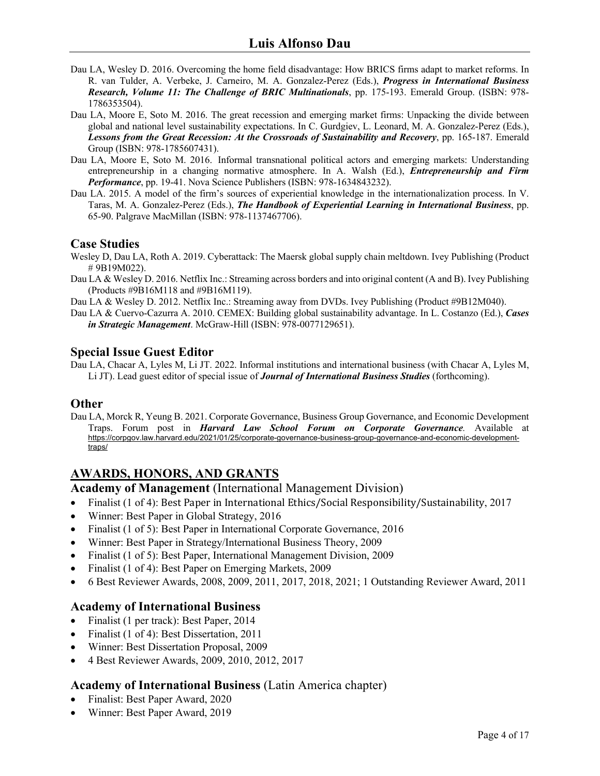- Dau LA, Wesley D. 2016. Overcoming the home field disadvantage: How BRICS firms adapt to market reforms. In R. van Tulder, A. Verbeke, J. Carneiro, M. A. Gonzalez-Perez (Eds.), *Progress in International Business Research, Volume 11: The Challenge of BRIC Multinationals*, pp. 175-193. Emerald Group. (ISBN: 978- 1786353504).
- Dau LA, Moore E, Soto M. 2016. The great recession and emerging market firms: Unpacking the divide between global and national level sustainability expectations. In C. Gurdgiev, L. Leonard, M. A. Gonzalez-Perez (Eds.), *Lessons from the Great Recession: At the Crossroads of Sustainability and Recovery*, pp. 165-187. Emerald Group (ISBN: 978-1785607431).
- Dau LA, Moore E, Soto M. 2016. Informal transnational political actors and emerging markets: Understanding entrepreneurship in a changing normative atmosphere. In A. Walsh (Ed.), *Entrepreneurship and Firm Performance*, pp. 19-41. Nova Science Publishers (ISBN: 978-1634843232).
- Dau LA. 2015. A model of the firm's sources of experiential knowledge in the internationalization process. In V. Taras, M. A. Gonzalez-Perez (Eds.), *The Handbook of Experiential Learning in International Business*, pp. 65-90. Palgrave MacMillan (ISBN: 978-1137467706).

### **Case Studies**

- Wesley D, Dau LA, Roth A. 2019. Cyberattack: The Maersk global supply chain meltdown. Ivey Publishing (Product # 9B19M022).
- Dau LA & Wesley D. 2016. Netflix Inc.: Streaming across borders and into original content (A and B). Ivey Publishing (Products #9B16M118 and #9B16M119).
- Dau LA & Wesley D. 2012. Netflix Inc.: Streaming away from DVDs. Ivey Publishing (Product #9B12M040).
- Dau LA & Cuervo-Cazurra A. 2010. CEMEX: Building global sustainability advantage. In L. Costanzo (Ed.), *Cases in Strategic Management*. McGraw-Hill (ISBN: 978-0077129651).

## **Special Issue Guest Editor**

Dau LA, Chacar A, Lyles M, Li JT. 2022. Informal institutions and international business (with Chacar A, Lyles M, Li JT). Lead guest editor of special issue of *Journal of International Business Studies* (forthcoming).

### **Other**

Dau LA, Morck R, Yeung B. 2021. Corporate Governance, Business Group Governance, and Economic Development Traps. Forum post in *Harvard Law School Forum on Corporate Governance.* Available at https://corpgov.law.harvard.edu/2021/01/25/corporate-governance-business-group-governance-and-economic-developmenttraps/

## **AWARDS, HONORS, AND GRANTS**

### **Academy of Management** (International Management Division)

- Finalist (1 of 4): Best Paper in International Ethics/Social Responsibility/Sustainability, 2017
- Winner: Best Paper in Global Strategy, 2016
- Finalist (1 of 5): Best Paper in International Corporate Governance, 2016
- Winner: Best Paper in Strategy/International Business Theory, 2009
- Finalist (1 of 5): Best Paper, International Management Division, 2009
- Finalist (1 of 4): Best Paper on Emerging Markets, 2009
- 6 Best Reviewer Awards, 2008, 2009, 2011, 2017, 2018, 2021; 1 Outstanding Reviewer Award, 2011

## **Academy of International Business**

- Finalist (1 per track): Best Paper, 2014
- Finalist (1 of 4): Best Dissertation, 2011
- Winner: Best Dissertation Proposal, 2009
- 4 Best Reviewer Awards, 2009, 2010, 2012, 2017

## **Academy of International Business** (Latin America chapter)

- Finalist: Best Paper Award, 2020
- Winner: Best Paper Award, 2019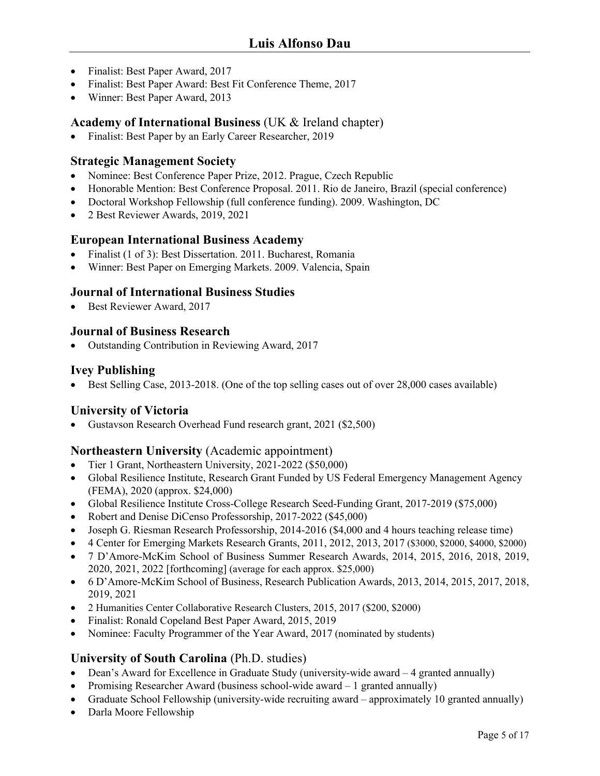- Finalist: Best Paper Award, 2017
- Finalist: Best Paper Award: Best Fit Conference Theme, 2017
- Winner: Best Paper Award, 2013

### **Academy of International Business** (UK & Ireland chapter)

• Finalist: Best Paper by an Early Career Researcher, 2019

### **Strategic Management Society**

- Nominee: Best Conference Paper Prize, 2012. Prague, Czech Republic
- Honorable Mention: Best Conference Proposal. 2011. Rio de Janeiro, Brazil (special conference)
- Doctoral Workshop Fellowship (full conference funding). 2009. Washington, DC
- 2 Best Reviewer Awards, 2019, 2021

### **European International Business Academy**

- Finalist (1 of 3): Best Dissertation. 2011. Bucharest, Romania
- Winner: Best Paper on Emerging Markets. 2009. Valencia, Spain

### **Journal of International Business Studies**

• Best Reviewer Award, 2017

### **Journal of Business Research**

• Outstanding Contribution in Reviewing Award, 2017

### **Ivey Publishing**

• Best Selling Case, 2013-2018. (One of the top selling cases out of over 28,000 cases available)

## **University of Victoria**

• Gustavson Research Overhead Fund research grant, 2021 (\$2,500)

### **Northeastern University** (Academic appointment)

- Tier 1 Grant, Northeastern University, 2021-2022 (\$50,000)
- Global Resilience Institute, Research Grant Funded by US Federal Emergency Management Agency (FEMA), 2020 (approx. \$24,000)
- Global Resilience Institute Cross-College Research Seed-Funding Grant, 2017-2019 (\$75,000)
- Robert and Denise DiCenso Professorship, 2017-2022 (\$45,000)
- Joseph G. Riesman Research Professorship, 2014-2016 (\$4,000 and 4 hours teaching release time)
- 4 Center for Emerging Markets Research Grants, 2011, 2012, 2013, 2017 (\$3000, \$2000, \$4000, \$2000)
- 7 D'Amore-McKim School of Business Summer Research Awards, 2014, 2015, 2016, 2018, 2019, 2020, 2021, 2022 [forthcoming] (average for each approx. \$25,000)
- 6 D'Amore-McKim School of Business, Research Publication Awards, 2013, 2014, 2015, 2017, 2018, 2019, 2021
- 2 Humanities Center Collaborative Research Clusters, 2015, 2017 (\$200, \$2000)
- Finalist: Ronald Copeland Best Paper Award, 2015, 2019
- Nominee: Faculty Programmer of the Year Award, 2017 (nominated by students)

## **University of South Carolina** (Ph.D. studies)

- Dean's Award for Excellence in Graduate Study (university-wide award 4 granted annually)
- Promising Researcher Award (business school-wide award 1 granted annually)
- Graduate School Fellowship (university-wide recruiting award approximately 10 granted annually)
- Darla Moore Fellowship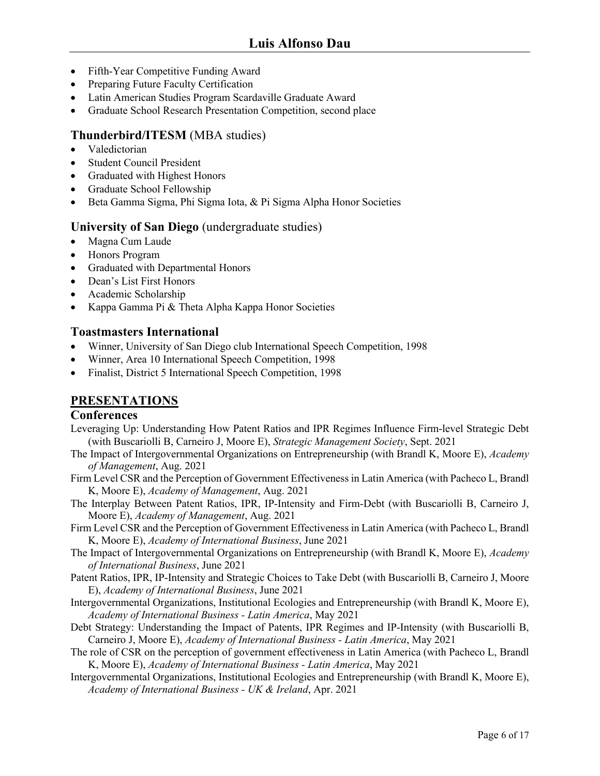- Fifth-Year Competitive Funding Award
- Preparing Future Faculty Certification
- Latin American Studies Program Scardaville Graduate Award
- Graduate School Research Presentation Competition, second place

## **Thunderbird/ITESM** (MBA studies)

- Valedictorian
- Student Council President
- Graduated with Highest Honors
- Graduate School Fellowship
- Beta Gamma Sigma, Phi Sigma Iota, & Pi Sigma Alpha Honor Societies

### **University of San Diego** (undergraduate studies)

- Magna Cum Laude
- Honors Program
- Graduated with Departmental Honors
- Dean's List First Honors
- Academic Scholarship
- Kappa Gamma Pi & Theta Alpha Kappa Honor Societies

## **Toastmasters International**

- Winner, University of San Diego club International Speech Competition, 1998
- Winner, Area 10 International Speech Competition, 1998
- Finalist, District 5 International Speech Competition, 1998

## **PRESENTATIONS**

### **Conferences**

- Leveraging Up: Understanding How Patent Ratios and IPR Regimes Influence Firm-level Strategic Debt (with Buscariolli B, Carneiro J, Moore E), *Strategic Management Society*, Sept. 2021
- The Impact of Intergovernmental Organizations on Entrepreneurship (with Brandl K, Moore E), *Academy of Management*, Aug. 2021
- Firm Level CSR and the Perception of Government Effectiveness in Latin America (with Pacheco L, Brandl K, Moore E), *Academy of Management*, Aug. 2021
- The Interplay Between Patent Ratios, IPR, IP-Intensity and Firm-Debt (with Buscariolli B, Carneiro J, Moore E), *Academy of Management*, Aug. 2021
- Firm Level CSR and the Perception of Government Effectiveness in Latin America (with Pacheco L, Brandl K, Moore E), *Academy of International Business*, June 2021
- The Impact of Intergovernmental Organizations on Entrepreneurship (with Brandl K, Moore E), *Academy of International Business*, June 2021
- Patent Ratios, IPR, IP-Intensity and Strategic Choices to Take Debt (with Buscariolli B, Carneiro J, Moore E), *Academy of International Business*, June 2021
- Intergovernmental Organizations, Institutional Ecologies and Entrepreneurship (with Brandl K, Moore E), *Academy of International Business - Latin America*, May 2021
- Debt Strategy: Understanding the Impact of Patents, IPR Regimes and IP-Intensity (with Buscariolli B, Carneiro J, Moore E), *Academy of International Business - Latin America*, May 2021
- The role of CSR on the perception of government effectiveness in Latin America (with Pacheco L, Brandl K, Moore E), *Academy of International Business - Latin America*, May 2021
- Intergovernmental Organizations, Institutional Ecologies and Entrepreneurship (with Brandl K, Moore E), *Academy of International Business - UK & Ireland*, Apr. 2021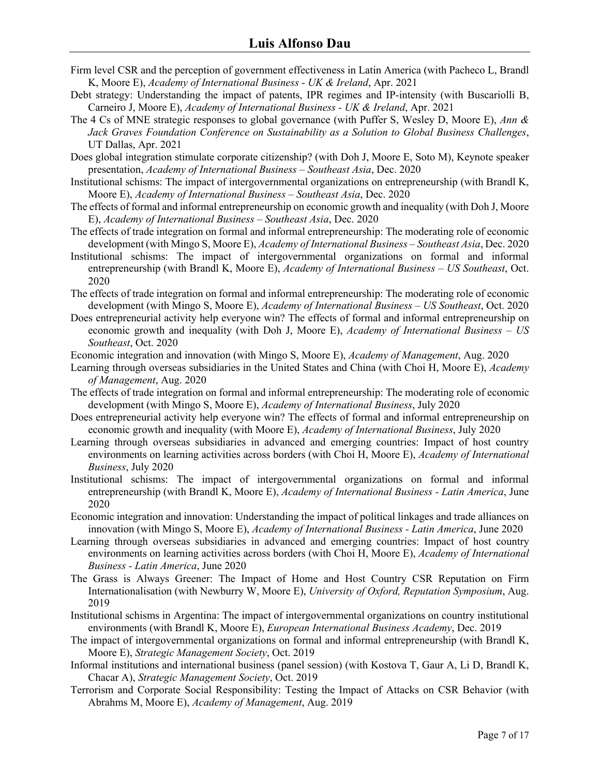- Firm level CSR and the perception of government effectiveness in Latin America (with Pacheco L, Brandl K, Moore E), *Academy of International Business - UK & Ireland*, Apr. 2021
- Debt strategy: Understanding the impact of patents, IPR regimes and IP-intensity (with Buscariolli B, Carneiro J, Moore E), *Academy of International Business - UK & Ireland*, Apr. 2021
- The 4 Cs of MNE strategic responses to global governance (with Puffer S, Wesley D, Moore E), *Ann & Jack Graves Foundation Conference on Sustainability as a Solution to Global Business Challenges*, UT Dallas, Apr. 2021
- Does global integration stimulate corporate citizenship? (with Doh J, Moore E, Soto M), Keynote speaker presentation, *Academy of International Business – Southeast Asia*, Dec. 2020
- Institutional schisms: The impact of intergovernmental organizations on entrepreneurship (with Brandl K, Moore E), *Academy of International Business – Southeast Asia*, Dec. 2020
- The effects of formal and informal entrepreneurship on economic growth and inequality (with Doh J, Moore E), *Academy of International Business – Southeast Asia*, Dec. 2020
- The effects of trade integration on formal and informal entrepreneurship: The moderating role of economic development (with Mingo S, Moore E), *Academy of International Business – Southeast Asia*, Dec. 2020
- Institutional schisms: The impact of intergovernmental organizations on formal and informal entrepreneurship (with Brandl K, Moore E), *Academy of International Business – US Southeast*, Oct. 2020
- The effects of trade integration on formal and informal entrepreneurship: The moderating role of economic development (with Mingo S, Moore E), *Academy of International Business – US Southeast*, Oct. 2020
- Does entrepreneurial activity help everyone win? The effects of formal and informal entrepreneurship on economic growth and inequality (with Doh J, Moore E), *Academy of International Business – US Southeast*, Oct. 2020
- Economic integration and innovation (with Mingo S, Moore E), *Academy of Management*, Aug. 2020
- Learning through overseas subsidiaries in the United States and China (with Choi H, Moore E), *Academy of Management*, Aug. 2020
- The effects of trade integration on formal and informal entrepreneurship: The moderating role of economic development (with Mingo S, Moore E), *Academy of International Business*, July 2020
- Does entrepreneurial activity help everyone win? The effects of formal and informal entrepreneurship on economic growth and inequality (with Moore E), *Academy of International Business*, July 2020
- Learning through overseas subsidiaries in advanced and emerging countries: Impact of host country environments on learning activities across borders (with Choi H, Moore E), *Academy of International Business*, July 2020
- Institutional schisms: The impact of intergovernmental organizations on formal and informal entrepreneurship (with Brandl K, Moore E), *Academy of International Business - Latin America*, June 2020
- Economic integration and innovation: Understanding the impact of political linkages and trade alliances on innovation (with Mingo S, Moore E), *Academy of International Business - Latin America*, June 2020
- Learning through overseas subsidiaries in advanced and emerging countries: Impact of host country environments on learning activities across borders (with Choi H, Moore E), *Academy of International Business - Latin America*, June 2020
- The Grass is Always Greener: The Impact of Home and Host Country CSR Reputation on Firm Internationalisation (with Newburry W, Moore E), *University of Oxford, Reputation Symposium*, Aug. 2019
- Institutional schisms in Argentina: The impact of intergovernmental organizations on country institutional environments (with Brandl K, Moore E), *European International Business Academy*, Dec. 2019
- The impact of intergovernmental organizations on formal and informal entrepreneurship (with Brandl K, Moore E), *Strategic Management Society*, Oct. 2019
- Informal institutions and international business (panel session) (with Kostova T, Gaur A, Li D, Brandl K, Chacar A), *Strategic Management Society*, Oct. 2019
- Terrorism and Corporate Social Responsibility: Testing the Impact of Attacks on CSR Behavior (with Abrahms M, Moore E), *Academy of Management*, Aug. 2019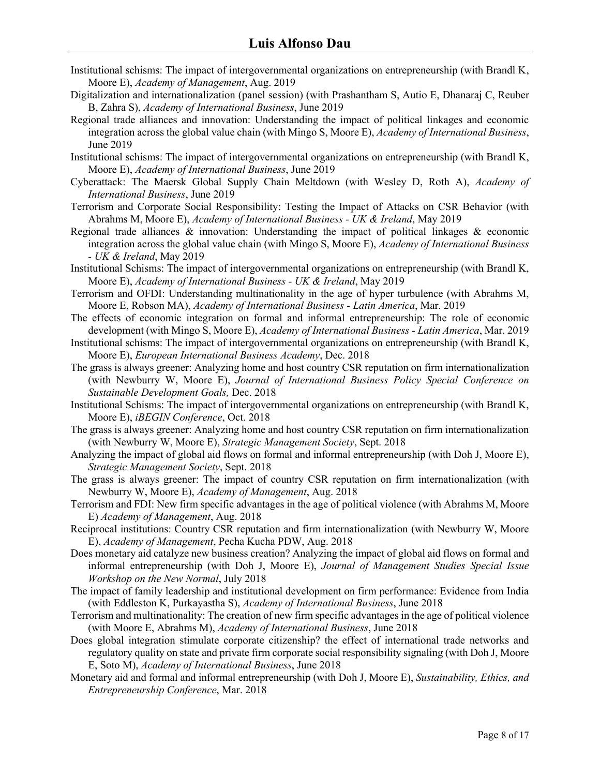- Institutional schisms: The impact of intergovernmental organizations on entrepreneurship (with Brandl K, Moore E), *Academy of Management*, Aug. 2019
- Digitalization and internationalization (panel session) (with Prashantham S, Autio E, Dhanaraj C, Reuber B, Zahra S), *Academy of International Business*, June 2019
- Regional trade alliances and innovation: Understanding the impact of political linkages and economic integration across the global value chain (with Mingo S, Moore E), *Academy of International Business*, June 2019
- Institutional schisms: The impact of intergovernmental organizations on entrepreneurship (with Brandl K, Moore E), *Academy of International Business*, June 2019
- Cyberattack: The Maersk Global Supply Chain Meltdown (with Wesley D, Roth A), *Academy of International Business*, June 2019
- Terrorism and Corporate Social Responsibility: Testing the Impact of Attacks on CSR Behavior (with Abrahms M, Moore E), *Academy of International Business - UK & Ireland*, May 2019
- Regional trade alliances & innovation: Understanding the impact of political linkages & economic integration across the global value chain (with Mingo S, Moore E), *Academy of International Business - UK & Ireland*, May 2019
- Institutional Schisms: The impact of intergovernmental organizations on entrepreneurship (with Brandl K, Moore E), *Academy of International Business - UK & Ireland*, May 2019
- Terrorism and OFDI: Understanding multinationality in the age of hyper turbulence (with Abrahms M, Moore E, Robson MA), *Academy of International Business - Latin America*, Mar. 2019
- The effects of economic integration on formal and informal entrepreneurship: The role of economic development (with Mingo S, Moore E), *Academy of International Business - Latin America*, Mar. 2019
- Institutional schisms: The impact of intergovernmental organizations on entrepreneurship (with Brandl K, Moore E), *European International Business Academy*, Dec. 2018
- The grass is always greener: Analyzing home and host country CSR reputation on firm internationalization (with Newburry W, Moore E), *Journal of International Business Policy Special Conference on Sustainable Development Goals,* Dec. 2018
- Institutional Schisms: The impact of intergovernmental organizations on entrepreneurship (with Brandl K, Moore E), *iBEGIN Conference*, Oct. 2018
- The grass is always greener: Analyzing home and host country CSR reputation on firm internationalization (with Newburry W, Moore E), *Strategic Management Society*, Sept. 2018
- Analyzing the impact of global aid flows on formal and informal entrepreneurship (with Doh J, Moore E), *Strategic Management Society*, Sept. 2018
- The grass is always greener: The impact of country CSR reputation on firm internationalization (with Newburry W, Moore E), *Academy of Management*, Aug. 2018
- Terrorism and FDI: New firm specific advantages in the age of political violence (with Abrahms M, Moore E) *Academy of Management*, Aug. 2018
- Reciprocal institutions: Country CSR reputation and firm internationalization (with Newburry W, Moore E), *Academy of Management*, Pecha Kucha PDW, Aug. 2018
- Does monetary aid catalyze new business creation? Analyzing the impact of global aid flows on formal and informal entrepreneurship (with Doh J, Moore E), *Journal of Management Studies Special Issue Workshop on the New Normal*, July 2018
- The impact of family leadership and institutional development on firm performance: Evidence from India (with Eddleston K, Purkayastha S), *Academy of International Business*, June 2018
- Terrorism and multinationality: The creation of new firm specific advantages in the age of political violence (with Moore E, Abrahms M), *Academy of International Business*, June 2018
- Does global integration stimulate corporate citizenship? the effect of international trade networks and regulatory quality on state and private firm corporate social responsibility signaling (with Doh J, Moore E, Soto M), *Academy of International Business*, June 2018
- Monetary aid and formal and informal entrepreneurship (with Doh J, Moore E), *Sustainability, Ethics, and Entrepreneurship Conference*, Mar. 2018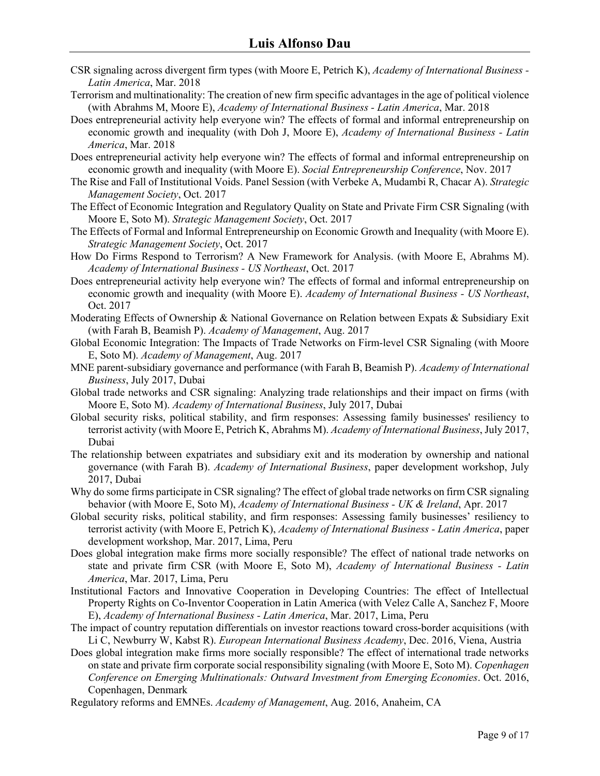- CSR signaling across divergent firm types (with Moore E, Petrich K), *Academy of International Business - Latin America*, Mar. 2018
- Terrorism and multinationality: The creation of new firm specific advantages in the age of political violence (with Abrahms M, Moore E), *Academy of International Business - Latin America*, Mar. 2018
- Does entrepreneurial activity help everyone win? The effects of formal and informal entrepreneurship on economic growth and inequality (with Doh J, Moore E), *Academy of International Business - Latin America*, Mar. 2018
- Does entrepreneurial activity help everyone win? The effects of formal and informal entrepreneurship on economic growth and inequality (with Moore E). *Social Entrepreneurship Conference*, Nov. 2017
- The Rise and Fall of Institutional Voids. Panel Session (with Verbeke A, Mudambi R, Chacar A). *Strategic Management Society*, Oct. 2017
- The Effect of Economic Integration and Regulatory Quality on State and Private Firm CSR Signaling (with Moore E, Soto M). *Strategic Management Society*, Oct. 2017
- The Effects of Formal and Informal Entrepreneurship on Economic Growth and Inequality (with Moore E). *Strategic Management Society*, Oct. 2017
- How Do Firms Respond to Terrorism? A New Framework for Analysis. (with Moore E, Abrahms M). *Academy of International Business - US Northeast*, Oct. 2017
- Does entrepreneurial activity help everyone win? The effects of formal and informal entrepreneurship on economic growth and inequality (with Moore E). *Academy of International Business - US Northeast*, Oct. 2017
- Moderating Effects of Ownership & National Governance on Relation between Expats & Subsidiary Exit (with Farah B, Beamish P). *Academy of Management*, Aug. 2017
- Global Economic Integration: The Impacts of Trade Networks on Firm-level CSR Signaling (with Moore E, Soto M). *Academy of Management*, Aug. 2017
- MNE parent-subsidiary governance and performance (with Farah B, Beamish P). *Academy of International Business*, July 2017, Dubai
- Global trade networks and CSR signaling: Analyzing trade relationships and their impact on firms (with Moore E, Soto M). *Academy of International Business*, July 2017, Dubai
- Global security risks, political stability, and firm responses: Assessing family businesses' resiliency to terrorist activity (with Moore E, Petrich K, Abrahms M). *Academy of International Business*, July 2017, Dubai
- The relationship between expatriates and subsidiary exit and its moderation by ownership and national governance (with Farah B). *Academy of International Business*, paper development workshop, July 2017, Dubai
- Why do some firms participate in CSR signaling? The effect of global trade networks on firm CSR signaling behavior (with Moore E, Soto M), *Academy of International Business - UK & Ireland*, Apr. 2017
- Global security risks, political stability, and firm responses: Assessing family businesses' resiliency to terrorist activity (with Moore E, Petrich K), *Academy of International Business - Latin America*, paper development workshop, Mar. 2017, Lima, Peru
- Does global integration make firms more socially responsible? The effect of national trade networks on state and private firm CSR (with Moore E, Soto M), *Academy of International Business - Latin America*, Mar. 2017, Lima, Peru
- Institutional Factors and Innovative Cooperation in Developing Countries: The effect of Intellectual Property Rights on Co-Inventor Cooperation in Latin America (with Velez Calle A, Sanchez F, Moore E), *Academy of International Business - Latin America*, Mar. 2017, Lima, Peru
- The impact of country reputation differentials on investor reactions toward cross-border acquisitions (with Li C, Newburry W, Kabst R). *European International Business Academy*, Dec. 2016, Viena, Austria
- Does global integration make firms more socially responsible? The effect of international trade networks on state and private firm corporate social responsibility signaling (with Moore E, Soto M). *Copenhagen Conference on Emerging Multinationals: Outward Investment from Emerging Economies*. Oct. 2016, Copenhagen, Denmark
- Regulatory reforms and EMNEs. *Academy of Management*, Aug. 2016, Anaheim, CA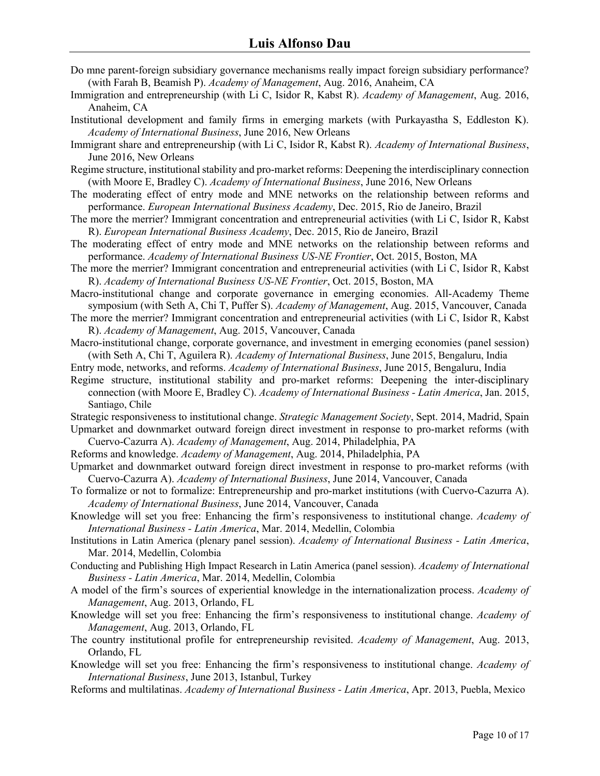- Do mne parent-foreign subsidiary governance mechanisms really impact foreign subsidiary performance? (with Farah B, Beamish P). *Academy of Management*, Aug. 2016, Anaheim, CA
- Immigration and entrepreneurship (with Li C, Isidor R, Kabst R). *Academy of Management*, Aug. 2016, Anaheim, CA
- Institutional development and family firms in emerging markets (with Purkayastha S, Eddleston K). *Academy of International Business*, June 2016, New Orleans
- Immigrant share and entrepreneurship (with Li C, Isidor R, Kabst R). *Academy of International Business*, June 2016, New Orleans
- Regime structure, institutional stability and pro-market reforms: Deepening the interdisciplinary connection (with Moore E, Bradley C). *Academy of International Business*, June 2016, New Orleans
- The moderating effect of entry mode and MNE networks on the relationship between reforms and performance. *European International Business Academy*, Dec. 2015, Rio de Janeiro, Brazil
- The more the merrier? Immigrant concentration and entrepreneurial activities (with Li C, Isidor R, Kabst R). *European International Business Academy*, Dec. 2015, Rio de Janeiro, Brazil
- The moderating effect of entry mode and MNE networks on the relationship between reforms and performance. *Academy of International Business US-NE Frontier*, Oct. 2015, Boston, MA
- The more the merrier? Immigrant concentration and entrepreneurial activities (with Li C, Isidor R, Kabst R). *Academy of International Business US-NE Frontier*, Oct. 2015, Boston, MA

Macro-institutional change and corporate governance in emerging economies. All-Academy Theme symposium (with Seth A, Chi T, Puffer S). *Academy of Management*, Aug. 2015, Vancouver, Canada

The more the merrier? Immigrant concentration and entrepreneurial activities (with Li C, Isidor R, Kabst R). *Academy of Management*, Aug. 2015, Vancouver, Canada

Macro-institutional change, corporate governance, and investment in emerging economies (panel session) (with Seth A, Chi T, Aguilera R). *Academy of International Business*, June 2015, Bengaluru, India

Entry mode, networks, and reforms. *Academy of International Business*, June 2015, Bengaluru, India

Regime structure, institutional stability and pro-market reforms: Deepening the inter-disciplinary connection (with Moore E, Bradley C). *Academy of International Business - Latin America*, Jan. 2015, Santiago, Chile

Strategic responsiveness to institutional change. *Strategic Management Society*, Sept. 2014, Madrid, Spain Upmarket and downmarket outward foreign direct investment in response to pro-market reforms (with

Cuervo-Cazurra A). *Academy of Management*, Aug. 2014, Philadelphia, PA

Reforms and knowledge. *Academy of Management*, Aug. 2014, Philadelphia, PA

- Upmarket and downmarket outward foreign direct investment in response to pro-market reforms (with Cuervo-Cazurra A). *Academy of International Business*, June 2014, Vancouver, Canada
- To formalize or not to formalize: Entrepreneurship and pro-market institutions (with Cuervo-Cazurra A). *Academy of International Business*, June 2014, Vancouver, Canada
- Knowledge will set you free: Enhancing the firm's responsiveness to institutional change. *Academy of International Business - Latin America*, Mar. 2014, Medellin, Colombia
- Institutions in Latin America (plenary panel session). *Academy of International Business - Latin America*, Mar. 2014, Medellin, Colombia
- Conducting and Publishing High Impact Research in Latin America (panel session). *Academy of International Business - Latin America*, Mar. 2014, Medellin, Colombia
- A model of the firm's sources of experiential knowledge in the internationalization process. *Academy of Management*, Aug. 2013, Orlando, FL
- Knowledge will set you free: Enhancing the firm's responsiveness to institutional change. *Academy of Management*, Aug. 2013, Orlando, FL
- The country institutional profile for entrepreneurship revisited. *Academy of Management*, Aug. 2013, Orlando, FL
- Knowledge will set you free: Enhancing the firm's responsiveness to institutional change. *Academy of International Business*, June 2013, Istanbul, Turkey
- Reforms and multilatinas. *Academy of International Business - Latin America*, Apr. 2013, Puebla, Mexico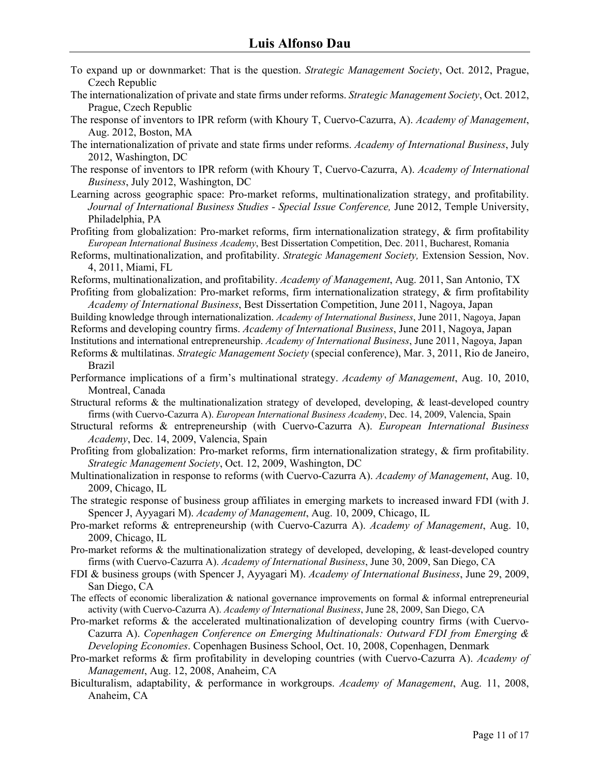- To expand up or downmarket: That is the question. *Strategic Management Society*, Oct. 2012, Prague, Czech Republic
- The internationalization of private and state firms under reforms. *Strategic Management Society*, Oct. 2012, Prague, Czech Republic
- The response of inventors to IPR reform (with Khoury T, Cuervo-Cazurra, A). *Academy of Management*, Aug. 2012, Boston, MA
- The internationalization of private and state firms under reforms. *Academy of International Business*, July 2012, Washington, DC
- The response of inventors to IPR reform (with Khoury T, Cuervo-Cazurra, A). *Academy of International Business*, July 2012, Washington, DC
- Learning across geographic space: Pro-market reforms, multinationalization strategy, and profitability. *Journal of International Business Studies - Special Issue Conference,* June 2012, Temple University, Philadelphia, PA
- Profiting from globalization: Pro-market reforms, firm internationalization strategy, & firm profitability *European International Business Academy*, Best Dissertation Competition, Dec. 2011, Bucharest, Romania
- Reforms, multinationalization, and profitability. *Strategic Management Society,* Extension Session, Nov. 4, 2011, Miami, FL
- Reforms, multinationalization, and profitability. *Academy of Management*, Aug. 2011, San Antonio, TX
- Profiting from globalization: Pro-market reforms, firm internationalization strategy, & firm profitability *Academy of International Business*, Best Dissertation Competition, June 2011, Nagoya, Japan
- Building knowledge through internationalization. *Academy of International Business*, June 2011, Nagoya, Japan Reforms and developing country firms. *Academy of International Business*, June 2011, Nagoya, Japan Institutions and international entrepreneurship. *Academy of International Business*, June 2011, Nagoya, Japan
- Reforms & multilatinas. *Strategic Management Society* (special conference), Mar. 3, 2011, Rio de Janeiro, Brazil
- Performance implications of a firm's multinational strategy. *Academy of Management*, Aug. 10, 2010, Montreal, Canada
- Structural reforms & the multinationalization strategy of developed, developing, & least-developed country firms (with Cuervo-Cazurra A). *European International Business Academy*, Dec. 14, 2009, Valencia, Spain
- Structural reforms & entrepreneurship (with Cuervo-Cazurra A). *European International Business Academy*, Dec. 14, 2009, Valencia, Spain
- Profiting from globalization: Pro-market reforms, firm internationalization strategy, & firm profitability. *Strategic Management Society*, Oct. 12, 2009, Washington, DC
- Multinationalization in response to reforms (with Cuervo-Cazurra A). *Academy of Management*, Aug. 10, 2009, Chicago, IL
- The strategic response of business group affiliates in emerging markets to increased inward FDI (with J. Spencer J, Ayyagari M). *Academy of Management*, Aug. 10, 2009, Chicago, IL
- Pro-market reforms & entrepreneurship (with Cuervo-Cazurra A). *Academy of Management*, Aug. 10, 2009, Chicago, IL
- Pro-market reforms & the multinationalization strategy of developed, developing, & least-developed country firms (with Cuervo-Cazurra A). *Academy of International Business*, June 30, 2009, San Diego, CA
- FDI & business groups (with Spencer J, Ayyagari M). *Academy of International Business*, June 29, 2009, San Diego, CA
- The effects of economic liberalization & national governance improvements on formal & informal entrepreneurial activity (with Cuervo-Cazurra A). *Academy of International Business*, June 28, 2009, San Diego, CA
- Pro-market reforms & the accelerated multinationalization of developing country firms (with Cuervo-Cazurra A). *Copenhagen Conference on Emerging Multinationals: Outward FDI from Emerging & Developing Economies*. Copenhagen Business School, Oct. 10, 2008, Copenhagen, Denmark
- Pro-market reforms & firm profitability in developing countries (with Cuervo-Cazurra A). *Academy of Management*, Aug. 12, 2008, Anaheim, CA
- Biculturalism, adaptability, & performance in workgroups. *Academy of Management*, Aug. 11, 2008, Anaheim, CA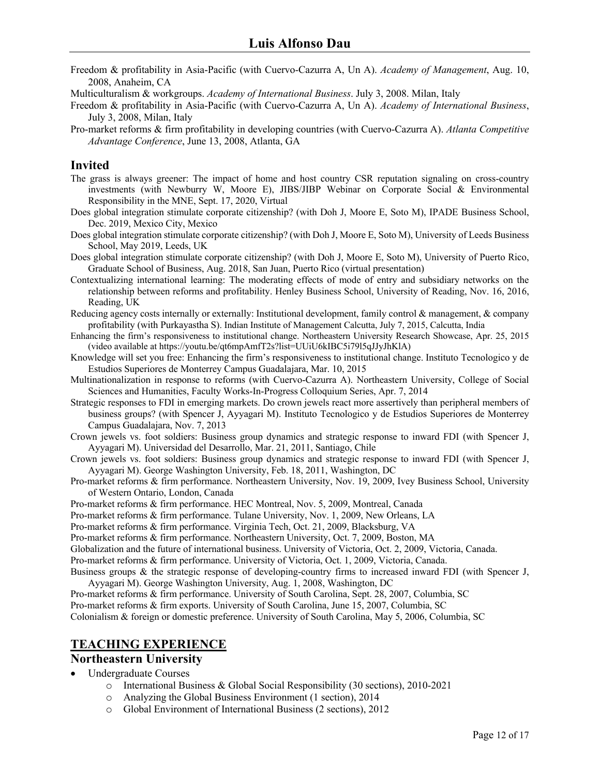- Freedom & profitability in Asia-Pacific (with Cuervo-Cazurra A, Un A). *Academy of Management*, Aug. 10, 2008, Anaheim, CA
- Multiculturalism & workgroups. *Academy of International Business*. July 3, 2008. Milan, Italy
- Freedom & profitability in Asia-Pacific (with Cuervo-Cazurra A, Un A). *Academy of International Business*, July 3, 2008, Milan, Italy
- Pro-market reforms & firm profitability in developing countries (with Cuervo-Cazurra A). *Atlanta Competitive Advantage Conference*, June 13, 2008, Atlanta, GA

### **Invited**

- The grass is always greener: The impact of home and host country CSR reputation signaling on cross-country investments (with Newburry W, Moore E), JIBS/JIBP Webinar on Corporate Social & Environmental Responsibility in the MNE, Sept. 17, 2020, Virtual
- Does global integration stimulate corporate citizenship? (with Doh J, Moore E, Soto M), IPADE Business School, Dec. 2019, Mexico City, Mexico
- Does global integration stimulate corporate citizenship? (with Doh J, Moore E, Soto M), University of Leeds Business School, May 2019, Leeds, UK
- Does global integration stimulate corporate citizenship? (with Doh J, Moore E, Soto M), University of Puerto Rico, Graduate School of Business, Aug. 2018, San Juan, Puerto Rico (virtual presentation)
- Contextualizing international learning: The moderating effects of mode of entry and subsidiary networks on the relationship between reforms and profitability. Henley Business School, University of Reading, Nov. 16, 2016, Reading, UK
- Reducing agency costs internally or externally: Institutional development, family control & management, & company profitability (with Purkayastha S). Indian Institute of Management Calcutta, July 7, 2015, Calcutta, India
- Enhancing the firm's responsiveness to institutional change. Northeastern University Research Showcase, Apr. 25, 2015 (video available at https://youtu.be/qt6mpAmfT2s?list=UUiU6kIBC5i79l5qJJyJhKlA)
- Knowledge will set you free: Enhancing the firm's responsiveness to institutional change. Instituto Tecnologico y de Estudios Superiores de Monterrey Campus Guadalajara, Mar. 10, 2015
- Multinationalization in response to reforms (with Cuervo-Cazurra A). Northeastern University, College of Social Sciences and Humanities, Faculty Works-In-Progress Colloquium Series, Apr. 7, 2014
- Strategic responses to FDI in emerging markets. Do crown jewels react more assertively than peripheral members of business groups? (with Spencer J, Ayyagari M). Instituto Tecnologico y de Estudios Superiores de Monterrey Campus Guadalajara, Nov. 7, 2013
- Crown jewels vs. foot soldiers: Business group dynamics and strategic response to inward FDI (with Spencer J, Ayyagari M). Universidad del Desarrollo, Mar. 21, 2011, Santiago, Chile
- Crown jewels vs. foot soldiers: Business group dynamics and strategic response to inward FDI (with Spencer J, Ayyagari M). George Washington University, Feb. 18, 2011, Washington, DC
- Pro-market reforms & firm performance. Northeastern University, Nov. 19, 2009, Ivey Business School, University of Western Ontario, London, Canada

Pro-market reforms & firm performance. HEC Montreal, Nov. 5, 2009, Montreal, Canada

- Pro-market reforms & firm performance. Tulane University, Nov. 1, 2009, New Orleans, LA
- Pro-market reforms & firm performance. Virginia Tech, Oct. 21, 2009, Blacksburg, VA

Pro-market reforms & firm performance. Northeastern University, Oct. 7, 2009, Boston, MA

Globalization and the future of international business. University of Victoria, Oct. 2, 2009, Victoria, Canada.

Pro-market reforms & firm performance. University of Victoria, Oct. 1, 2009, Victoria, Canada.

Business groups & the strategic response of developing-country firms to increased inward FDI (with Spencer J, Ayyagari M). George Washington University, Aug. 1, 2008, Washington, DC

Pro-market reforms & firm performance. University of South Carolina, Sept. 28, 2007, Columbia, SC

Pro-market reforms & firm exports. University of South Carolina, June 15, 2007, Columbia, SC

Colonialism & foreign or domestic preference. University of South Carolina, May 5, 2006, Columbia, SC

### **TEACHING EXPERIENCE**

#### **Northeastern University**

- Undergraduate Courses
	- o International Business & Global Social Responsibility (30 sections), 2010-2021
	- o Analyzing the Global Business Environment (1 section), 2014
	- o Global Environment of International Business (2 sections), 2012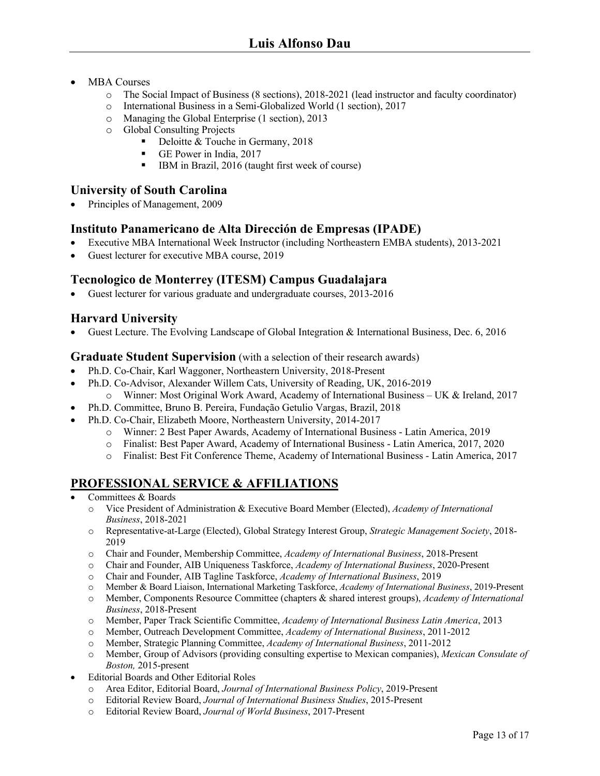- MBA Courses
	- o The Social Impact of Business (8 sections), 2018-2021 (lead instructor and faculty coordinator)
	- o International Business in a Semi-Globalized World (1 section), 2017
	- o Managing the Global Enterprise (1 section), 2013
	- o Global Consulting Projects
		- Deloitte & Touche in Germany, 2018
		- GE Power in India, 2017
		- IBM in Brazil, 2016 (taught first week of course)

## **University of South Carolina**

• Principles of Management, 2009

### **Instituto Panamericano de Alta Dirección de Empresas (IPADE)**

- Executive MBA International Week Instructor (including Northeastern EMBA students), 2013-2021
- Guest lecturer for executive MBA course, 2019

## **Tecnologico de Monterrey (ITESM) Campus Guadalajara**

• Guest lecturer for various graduate and undergraduate courses, 2013-2016

## **Harvard University**

• Guest Lecture. The Evolving Landscape of Global Integration & International Business, Dec. 6, 2016

### **Graduate Student Supervision** (with a selection of their research awards)

- Ph.D. Co-Chair, Karl Waggoner, Northeastern University, 2018-Present
- Ph.D. Co-Advisor, Alexander Willem Cats, University of Reading, UK, 2016-2019 o Winner: Most Original Work Award, Academy of International Business – UK & Ireland, 2017
- Ph.D. Committee, Bruno B. Pereira, Fundação Getulio Vargas, Brazil, 2018
- Ph.D. Co-Chair, Elizabeth Moore, Northeastern University, 2014-2017
	- o Winner: 2 Best Paper Awards, Academy of International Business Latin America, 2019
	- o Finalist: Best Paper Award, Academy of International Business Latin America, 2017, 2020
	- o Finalist: Best Fit Conference Theme, Academy of International Business Latin America, 2017

## **PROFESSIONAL SERVICE & AFFILIATIONS**

- Committees & Boards
	- o Vice President of Administration & Executive Board Member (Elected), *Academy of International Business*, 2018-2021
	- o Representative-at-Large (Elected), Global Strategy Interest Group, *Strategic Management Society*, 2018- 2019
	- o Chair and Founder, Membership Committee, *Academy of International Business*, 2018-Present
	- o Chair and Founder, AIB Uniqueness Taskforce, *Academy of International Business*, 2020-Present
	- o Chair and Founder, AIB Tagline Taskforce, *Academy of International Business*, 2019
	- o Member & Board Liaison, International Marketing Taskforce, *Academy of International Business*, 2019-Present
	- o Member, Components Resource Committee (chapters & shared interest groups), *Academy of International Business*, 2018-Present
	- o Member, Paper Track Scientific Committee, *Academy of International Business Latin America*, 2013
	- o Member, Outreach Development Committee, *Academy of International Business*, 2011-2012
	- o Member, Strategic Planning Committee, *Academy of International Business*, 2011-2012
	- o Member, Group of Advisors (providing consulting expertise to Mexican companies), *Mexican Consulate of Boston,* 2015-present
- Editorial Boards and Other Editorial Roles
	- o Area Editor, Editorial Board, *Journal of International Business Policy*, 2019-Present
	- o Editorial Review Board, *Journal of International Business Studies*, 2015-Present
	- o Editorial Review Board, *Journal of World Business*, 2017-Present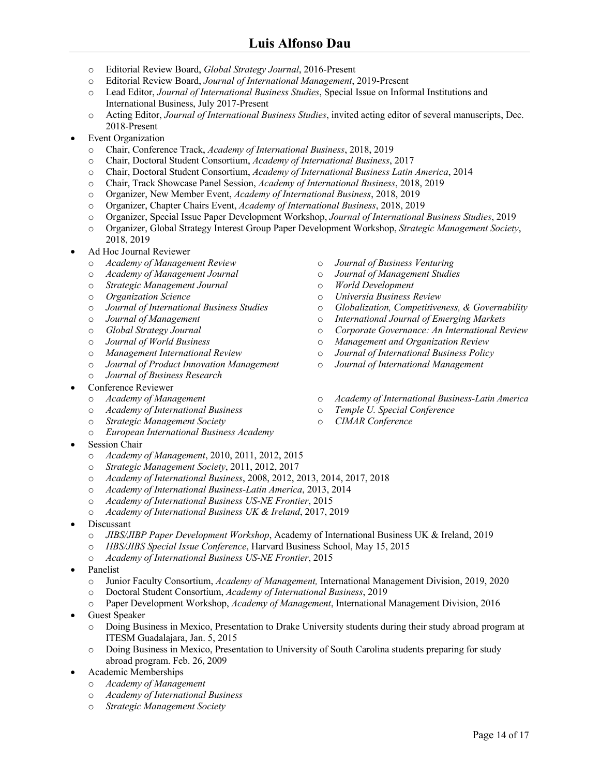- o Editorial Review Board, *Global Strategy Journal*, 2016-Present
- o Editorial Review Board, *Journal of International Management*, 2019-Present
- o Lead Editor, *Journal of International Business Studies*, Special Issue on Informal Institutions and International Business, July 2017-Present
- o Acting Editor, *Journal of International Business Studies*, invited acting editor of several manuscripts, Dec. 2018-Present
- Event Organization
	- o Chair, Conference Track, *Academy of International Business*, 2018, 2019
	- o Chair, Doctoral Student Consortium, *Academy of International Business*, 2017
	- o Chair, Doctoral Student Consortium, *Academy of International Business Latin America*, 2014
	- o Chair, Track Showcase Panel Session, *Academy of International Business*, 2018, 2019
	- o Organizer, New Member Event, *Academy of International Business*, 2018, 2019
	- o Organizer, Chapter Chairs Event, *Academy of International Business*, 2018, 2019
	- o Organizer, Special Issue Paper Development Workshop, *Journal of International Business Studies*, 2019
	- o Organizer, Global Strategy Interest Group Paper Development Workshop, *Strategic Management Society*, 2018, 2019
- Ad Hoc Journal Reviewer
	- o *Academy of Management Review*
	- o *Academy of Management Journal*
	- o *Strategic Management Journal*
	- o *Organization Science*
	- o *Journal of International Business Studies*
	- o *Journal of Management*
	- o *Global Strategy Journal*
	- o *Journal of World Business*
	- o *Management International Review*
	- o *Journal of Product Innovation Management*
	- o *Journal of Business Research*
- Conference Reviewer
	- o *Academy of Management*
	- o *Academy of International Business*
	- o *Strategic Management Society*
	- o *European International Business Academy*
- Session Chair
	- o *Academy of Management*, 2010, 2011, 2012, 2015
	- o *Strategic Management Society*, 2011, 2012, 2017
	- o *Academy of International Business*, 2008, 2012, 2013, 2014, 2017, 2018
	- o *Academy of International Business-Latin America*, 2013, 2014
	- o *Academy of International Business US-NE Frontier*, 2015
	- o *Academy of International Business UK & Ireland*, 2017, 2019
- Discussant
	- o *JIBS/JIBP Paper Development Workshop*, Academy of International Business UK & Ireland, 2019
	- o *HBS/JIBS Special Issue Conference*, Harvard Business School, May 15, 2015
	- o *Academy of International Business US-NE Frontier*, 2015
- Panelist
	- o Junior Faculty Consortium, *Academy of Management,* International Management Division, 2019, 2020
	- o Doctoral Student Consortium, *Academy of International Business*, 2019
	- o Paper Development Workshop, *Academy of Management*, International Management Division, 2016
- Guest Speaker
	- o Doing Business in Mexico, Presentation to Drake University students during their study abroad program at ITESM Guadalajara, Jan. 5, 2015
	- o Doing Business in Mexico, Presentation to University of South Carolina students preparing for study abroad program. Feb. 26, 2009
- Academic Memberships
	- o *Academy of Management*
	- o *Academy of International Business*
	- o *Strategic Management Society*
- o *Journal of Business Venturing*
- o *Journal of Management Studies*
- o *World Development*
- o *Universia Business Review*
- o *Globalization, Competitiveness, & Governability*
- o *International Journal of Emerging Markets*
- o *Corporate Governance: An International Review*
- o *Management and Organization Review*
- o *Journal of International Business Policy*
- o *Journal of International Management*
- o *Academy of International Business-Latin America*
- o *Temple U. Special Conference*
- o *CIMAR Conference*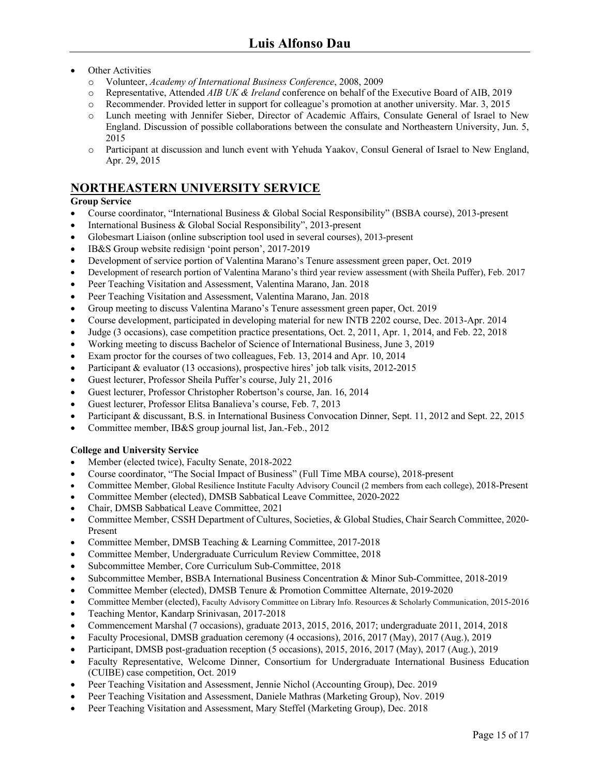- **Other Activities** 
	- o Volunteer, *Academy of International Business Conference*, 2008, 2009
	- o Representative, Attended *AIB UK & Ireland* conference on behalf of the Executive Board of AIB, 2019
	- o Recommender. Provided letter in support for colleague's promotion at another university. Mar. 3, 2015
	- o Lunch meeting with Jennifer Sieber, Director of Academic Affairs, Consulate General of Israel to New England. Discussion of possible collaborations between the consulate and Northeastern University, Jun. 5, 2015
	- o Participant at discussion and lunch event with Yehuda Yaakov, Consul General of Israel to New England, Apr. 29, 2015

## **NORTHEASTERN UNIVERSITY SERVICE**

#### **Group Service**

- Course coordinator, "International Business & Global Social Responsibility" (BSBA course), 2013-present
- International Business & Global Social Responsibility", 2013-present
- Globesmart Liaison (online subscription tool used in several courses), 2013-present
- IB&S Group website redisign 'point person', 2017-2019
- Development of service portion of Valentina Marano's Tenure assessment green paper, Oct. 2019
- Development of research portion of Valentina Marano's third year review assessment (with Sheila Puffer), Feb. 2017
- Peer Teaching Visitation and Assessment, Valentina Marano, Jan. 2018
- Peer Teaching Visitation and Assessment, Valentina Marano, Jan. 2018
- Group meeting to discuss Valentina Marano's Tenure assessment green paper, Oct. 2019
- Course development, participated in developing material for new INTB 2202 course, Dec. 2013-Apr. 2014
- Judge (3 occasions), case competition practice presentations, Oct. 2, 2011, Apr. 1, 2014, and Feb. 22, 2018
- Working meeting to discuss Bachelor of Science of International Business, June 3, 2019
- Exam proctor for the courses of two colleagues, Feb. 13, 2014 and Apr. 10, 2014
- Participant & evaluator (13 occasions), prospective hires' job talk visits, 2012-2015
- Guest lecturer, Professor Sheila Puffer's course, July 21, 2016
- Guest lecturer, Professor Christopher Robertson's course, Jan. 16, 2014
- Guest lecturer, Professor Elitsa Banalieva's course, Feb. 7, 2013
- Participant & discussant, B.S. in International Business Convocation Dinner, Sept. 11, 2012 and Sept. 22, 2015
- Committee member, IB&S group journal list, Jan.-Feb., 2012

#### **College and University Service**

- Member (elected twice), Faculty Senate, 2018-2022
- Course coordinator, "The Social Impact of Business" (Full Time MBA course), 2018-present
- Committee Member, Global Resilience Institute Faculty Advisory Council (2 members from each college), 2018-Present
- Committee Member (elected), DMSB Sabbatical Leave Committee, 2020-2022
- Chair, DMSB Sabbatical Leave Committee, 2021
- Committee Member, CSSH Department of Cultures, Societies, & Global Studies, Chair Search Committee, 2020- Present
- Committee Member, DMSB Teaching & Learning Committee, 2017-2018
- Committee Member, Undergraduate Curriculum Review Committee, 2018
- Subcommittee Member, Core Curriculum Sub-Committee, 2018
- Subcommittee Member, BSBA International Business Concentration & Minor Sub-Committee, 2018-2019
- Committee Member (elected), DMSB Tenure & Promotion Committee Alternate, 2019-2020
- Committee Member (elected), Faculty Advisory Committee on Library Info. Resources & Scholarly Communication, 2015-2016
- Teaching Mentor, Kandarp Srinivasan, 2017-2018
- Commencement Marshal (7 occasions), graduate 2013, 2015, 2016, 2017; undergraduate 2011, 2014, 2018
- Faculty Procesional, DMSB graduation ceremony (4 occasions), 2016, 2017 (May), 2017 (Aug.), 2019
- Participant, DMSB post-graduation reception (5 occasions), 2015, 2016, 2017 (May), 2017 (Aug.), 2019
- Faculty Representative, Welcome Dinner, Consortium for Undergraduate International Business Education (CUIBE) case competition, Oct. 2019
- Peer Teaching Visitation and Assessment, Jennie Nichol (Accounting Group), Dec. 2019
- Peer Teaching Visitation and Assessment, Daniele Mathras (Marketing Group), Nov. 2019
- Peer Teaching Visitation and Assessment, Mary Steffel (Marketing Group), Dec. 2018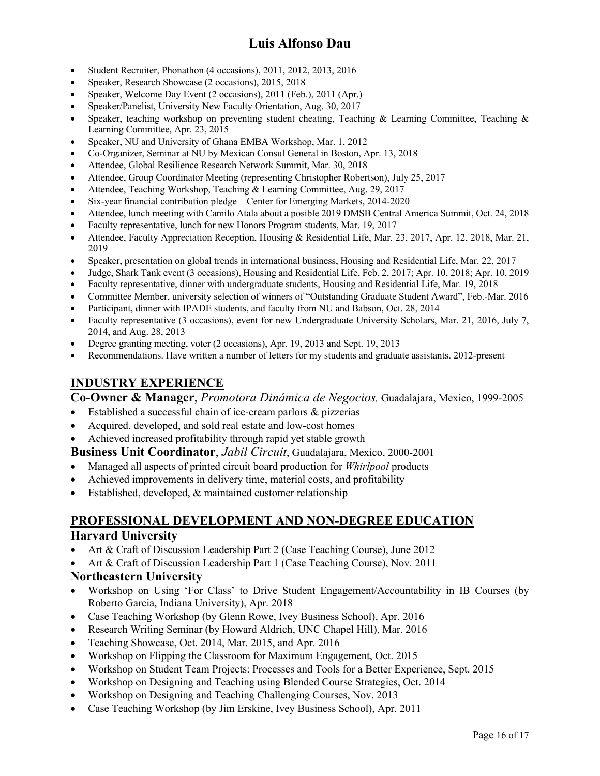- Student Recruiter, Phonathon (4 occasions), 2011, 2012, 2013, 2016
- Speaker, Research Showcase (2 occasions), 2015, 2018
- Speaker, Welcome Day Event (2 occasions), 2011 (Feb.), 2011 (Apr.)
- Speaker/Panelist, University New Faculty Orientation, Aug. 30, 2017
- Speaker, teaching workshop on preventing student cheating, Teaching & Learning Committee, Teaching & Learning Committee, Apr. 23, 2015
- Speaker, NU and University of Ghana EMBA Workshop, Mar. 1, 2012
- Co-Organizer, Seminar at NU by Mexican Consul General in Boston, Apr. 13, 2018
- Attendee, Global Resilience Research Network Summit, Mar. 30, 2018
- Attendee, Group Coordinator Meeting (representing Christopher Robertson), July 25, 2017
- Attendee, Teaching Workshop, Teaching & Learning Committee, Aug. 29, 2017
- Six-year financial contribution pledge Center for Emerging Markets, 2014-2020
- Attendee, lunch meeting with Camilo Atala about a posible 2019 DMSB Central America Summit, Oct. 24, 2018
- Faculty representative, lunch for new Honors Program students, Mar. 19, 2017
- Attendee, Faculty Appreciation Reception, Housing & Residential Life, Mar. 23, 2017, Apr. 12, 2018, Mar. 21, 2019
- Speaker, presentation on global trends in international business, Housing and Residential Life, Mar. 22, 2017
- Judge, Shark Tank event (3 occasions), Housing and Residential Life, Feb. 2, 2017; Apr. 10, 2018; Apr. 10, 2019
- Faculty representative, dinner with undergraduate students, Housing and Residential Life, Mar. 19, 2018
- Committee Member, university selection of winners of "Outstanding Graduate Student Award", Feb.-Mar. 2016
- Participant, dinner with IPADE students, and faculty from NU and Babson, Oct. 28, 2014
- Faculty representative (3 occasions), event for new Undergraduate University Scholars, Mar. 21, 2016, July 7, 2014, and Aug. 28, 2013
- Degree granting meeting, voter (2 occasions), Apr. 19, 2013 and Sept. 19, 2013
- Recommendations. Have written a number of letters for my students and graduate assistants. 2012-present

## **INDUSTRY EXPERIENCE**

**Co-Owner & Manager**, *Promotora Dinámica de Negocios,* Guadalajara, Mexico, 1999-2005

- Established a successful chain of ice-cream parlors & pizzerias
- Acquired, developed, and sold real estate and low-cost homes
- Achieved increased profitability through rapid yet stable growth

**Business Unit Coordinator**, *Jabil Circuit*, Guadalajara, Mexico, 2000-2001

- Managed all aspects of printed circuit board production for *Whirlpool* products
- Achieved improvements in delivery time, material costs, and profitability
- Established, developed, & maintained customer relationship

## **PROFESSIONAL DEVELOPMENT AND NON-DEGREE EDUCATION Harvard University**

- Art & Craft of Discussion Leadership Part 2 (Case Teaching Course), June 2012
- Art & Craft of Discussion Leadership Part 1 (Case Teaching Course), Nov. 2011

### **Northeastern University**

- Workshop on Using 'For Class' to Drive Student Engagement/Accountability in IB Courses (by Roberto Garcia, Indiana University), Apr. 2018
- Case Teaching Workshop (by Glenn Rowe, Ivey Business School), Apr. 2016
- Research Writing Seminar (by Howard Aldrich, UNC Chapel Hill), Mar. 2016
- Teaching Showcase, Oct. 2014, Mar. 2015, and Apr. 2016
- Workshop on Flipping the Classroom for Maximum Engagement, Oct. 2015
- Workshop on Student Team Projects: Processes and Tools for a Better Experience, Sept. 2015
- Workshop on Designing and Teaching using Blended Course Strategies, Oct. 2014
- Workshop on Designing and Teaching Challenging Courses, Nov. 2013
- Case Teaching Workshop (by Jim Erskine, Ivey Business School), Apr. 2011